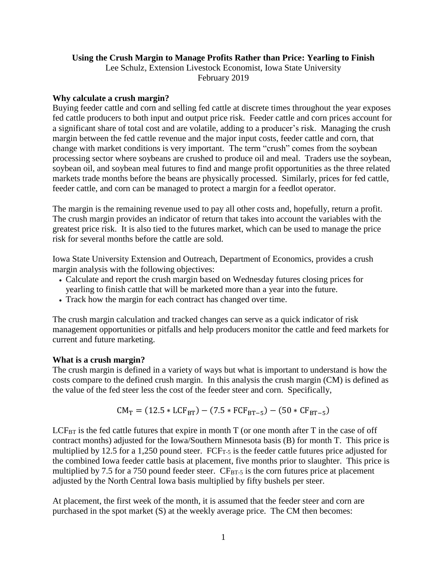# **Using the Crush Margin to Manage Profits Rather than Price: Yearling to Finish**

Lee Schulz, Extension Livestock Economist, Iowa State University February 2019

#### **Why calculate a crush margin?**

Buying feeder cattle and corn and selling fed cattle at discrete times throughout the year exposes fed cattle producers to both input and output price risk. Feeder cattle and corn prices account for a significant share of total cost and are volatile, adding to a producer's risk. Managing the crush margin between the fed cattle revenue and the major input costs, feeder cattle and corn, that change with market conditions is very important. The term "crush" comes from the soybean processing sector where soybeans are crushed to produce oil and meal. Traders use the soybean, soybean oil, and soybean meal futures to find and mange profit opportunities as the three related markets trade months before the beans are physically processed. Similarly, prices for fed cattle, feeder cattle, and corn can be managed to protect a margin for a feedlot operator.

The margin is the remaining revenue used to pay all other costs and, hopefully, return a profit. The crush margin provides an indicator of return that takes into account the variables with the greatest price risk. It is also tied to the futures market, which can be used to manage the price risk for several months before the cattle are sold.

Iowa State University Extension and Outreach, Department of Economics, provides a crush margin analysis with the following objectives:

- Calculate and report the crush margin based on Wednesday futures closing prices for yearling to finish cattle that will be marketed more than a year into the future.
- Track how the margin for each contract has changed over time.

The crush margin calculation and tracked changes can serve as a quick indicator of risk management opportunities or pitfalls and help producers monitor the cattle and feed markets for current and future marketing.

### **What is a crush margin?**

The crush margin is defined in a variety of ways but what is important to understand is how the costs compare to the defined crush margin. In this analysis the crush margin (CM) is defined as the value of the fed steer less the cost of the feeder steer and corn. Specifically,

$$
CM_T = (12.5 * LCF_{BT}) - (7.5 * FCF_{BT-5}) - (50 * CF_{BT-5})
$$

 $LCF_{BT}$  is the fed cattle futures that expire in month  $T$  (or one month after  $T$  in the case of off contract months) adjusted for the Iowa/Southern Minnesota basis (B) for month T. This price is multiplied by 12.5 for a 1,250 pound steer.  $FCF<sub>T-5</sub>$  is the feeder cattle futures price adjusted for the combined Iowa feeder cattle basis at placement, five months prior to slaughter. This price is multiplied by 7.5 for a 750 pound feeder steer.  $CF_{BT-5}$  is the corn futures price at placement adjusted by the North Central Iowa basis multiplied by fifty bushels per steer.

At placement, the first week of the month, it is assumed that the feeder steer and corn are purchased in the spot market (S) at the weekly average price. The CM then becomes: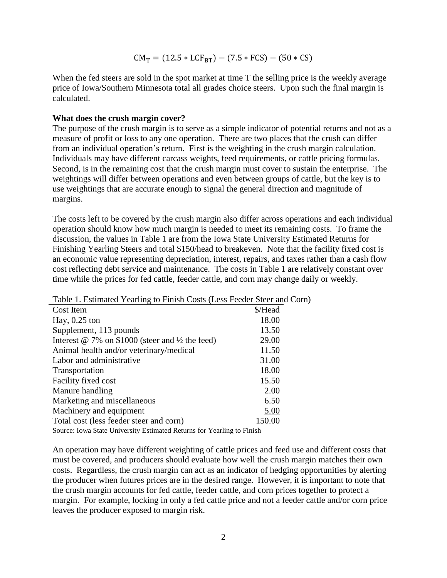$$
CM_T = (12.5 * LCF_{BT}) - (7.5 * FCS) - (50 * CS)
$$

When the fed steers are sold in the spot market at time T the selling price is the weekly average price of Iowa/Southern Minnesota total all grades choice steers. Upon such the final margin is calculated.

#### **What does the crush margin cover?**

The purpose of the crush margin is to serve as a simple indicator of potential returns and not as a measure of profit or loss to any one operation. There are two places that the crush can differ from an individual operation's return. First is the weighting in the crush margin calculation. Individuals may have different carcass weights, feed requirements, or cattle pricing formulas. Second, is in the remaining cost that the crush margin must cover to sustain the enterprise. The weightings will differ between operations and even between groups of cattle, but the key is to use weightings that are accurate enough to signal the general direction and magnitude of margins.

The costs left to be covered by the crush margin also differ across operations and each individual operation should know how much margin is needed to meet its remaining costs. To frame the discussion, the values in Table 1 are from the Iowa State University Estimated Returns for Finishing Yearling Steers and total \$150/head to breakeven. Note that the facility fixed cost is an economic value representing depreciation, interest, repairs, and taxes rather than a cash flow cost reflecting debt service and maintenance. The costs in Table 1 are relatively constant over time while the prices for fed cattle, feeder cattle, and corn may change daily or weekly.

| Two T. Estimated Tearning to Fillish Costs (Ecss Tecaci Steel and C |         |
|---------------------------------------------------------------------|---------|
| Cost Item                                                           | \$/Head |
| Hay, $0.25$ ton                                                     | 18.00   |
| Supplement, 113 pounds                                              | 13.50   |
| Interest $\omega$ 7% on \$1000 (steer and $\frac{1}{2}$ the feed)   | 29.00   |
| Animal health and/or veterinary/medical                             | 11.50   |
| Labor and administrative                                            | 31.00   |
| Transportation                                                      | 18.00   |
| Facility fixed cost                                                 | 15.50   |
| Manure handling                                                     | 2.00    |
| Marketing and miscellaneous                                         | 6.50    |
| Machinery and equipment                                             | 5.00    |
| Total cost (less feeder steer and corn)                             | 150.00  |

Table 1. Estimated Yearling to Finish Costs (Less Feeder Steer and Corn)

Source: Iowa State University Estimated Returns for Yearling to Finish

An operation may have different weighting of cattle prices and feed use and different costs that must be covered, and producers should evaluate how well the crush margin matches their own costs. Regardless, the crush margin can act as an indicator of hedging opportunities by alerting the producer when futures prices are in the desired range. However, it is important to note that the crush margin accounts for fed cattle, feeder cattle, and corn prices together to protect a margin. For example, locking in only a fed cattle price and not a feeder cattle and/or corn price leaves the producer exposed to margin risk.